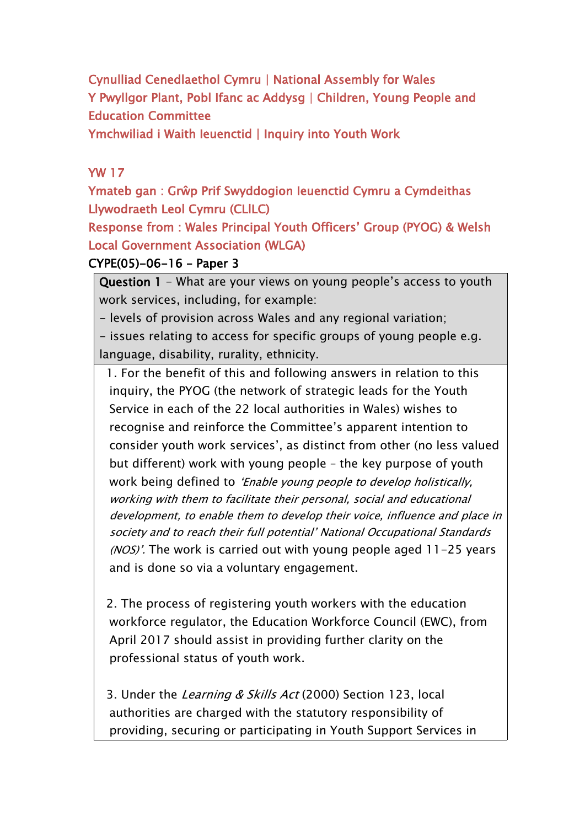**Cynulliad Cenedlaethol Cymru | National Assembly for Wales Y Pwyllgor Plant, Pobl Ifanc ac Addysg | Children, Young People and Education Committee**

**Ymchwiliad i Waith Ieuenctid | Inquiry into Youth Work**

## **YW 17**

**Ymateb gan : Grŵp Prif Swyddogion Ieuenctid Cymru a Cymdeithas Llywodraeth Leol Cymru (CLlLC)**

**Response from : Wales Principal Youth Officers' Group (PYOG) & Welsh Local Government Association (WLGA)**

## **CYPE(05)-06-16 – Paper 3**

**Question 1** - What are your views on young people's access to youth work services, including, for example:

- levels of provision across Wales and any regional variation;

- issues relating to access for specific groups of young people e.g. language, disability, rurality, ethnicity.

1. For the benefit of this and following answers in relation to this inquiry, the PYOG (the network of strategic leads for the Youth Service in each of the 22 local authorities in Wales) wishes to recognise and reinforce the Committee's apparent intention to consider youth work services', as distinct from other (no less valued but different) work with young people – the key purpose of youth work being defined to *'Enable young people to develop holistically, working with them to facilitate their personal, social and educational development, to enable them to develop their voice, influence and place in society and to reach their full potential' National Occupational Standards (NOS)'.* The work is carried out with young people aged 11-25 years and is done so via a voluntary engagement.

2. The process of registering youth workers with the education workforce regulator, the Education Workforce Council (EWC), from April 2017 should assist in providing further clarity on the professional status of youth work.

3. Under the *Learning & Skills Act* (2000) Section 123, local authorities are charged with the statutory responsibility of providing, securing or participating in Youth Support Services in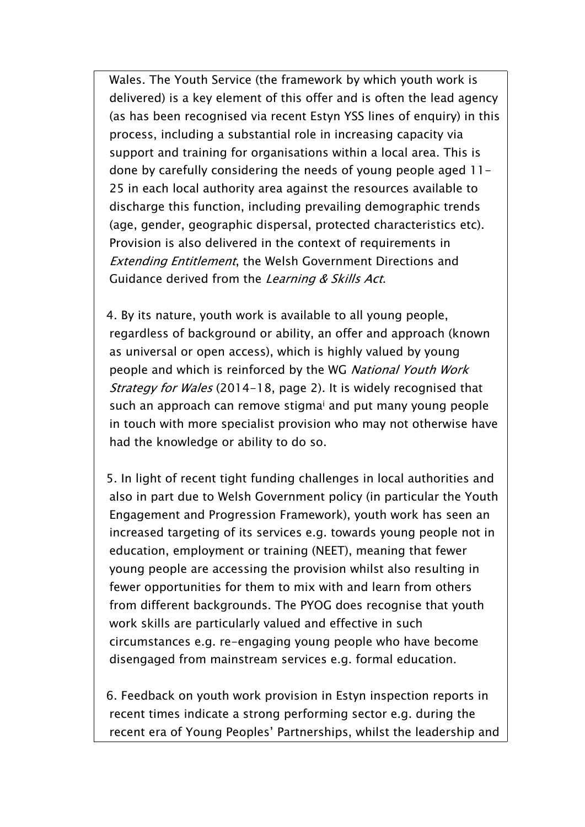Wales. The Youth Service (the framework by which youth work is delivered) is a key element of this offer and is often the lead agency (as has been recognised via recent Estyn YSS lines of enquiry) in this process, including a substantial role in increasing capacity via support and training for organisations within a local area. This is done by carefully considering the needs of young people aged 11- 25 in each local authority area against the resources available to discharge this function, including prevailing demographic trends (age, gender, geographic dispersal, protected characteristics etc). Provision is also delivered in the context of requirements in *Extending Entitlement*, the Welsh Government Directions and Guidance derived from the *Learning & Skills Act*.

4. By its nature, youth work is available to all young people, regardless of background or ability, an offer and approach (known as universal or open access), which is highly valued by young people and which is reinforced by the WG *National Youth Work Strategy for Wales* (2014-18, page 2). It is widely recognised that such an approach can remove stigma<sup>i</sup> and put many young people in touch with more specialist provision who may not otherwise have had the knowledge or ability to do so.

5. In light of recent tight funding challenges in local authorities and also in part due to Welsh Government policy (in particular the Youth Engagement and Progression Framework), youth work has seen an increased targeting of its services e.g. towards young people not in education, employment or training (NEET), meaning that fewer young people are accessing the provision whilst also resulting in fewer opportunities for them to mix with and learn from others from different backgrounds. The PYOG does recognise that youth work skills are particularly valued and effective in such circumstances e.g. re-engaging young people who have become disengaged from mainstream services e.g. formal education.

6. Feedback on youth work provision in Estyn inspection reports in recent times indicate a strong performing sector e.g. during the recent era of Young Peoples' Partnerships, whilst the leadership and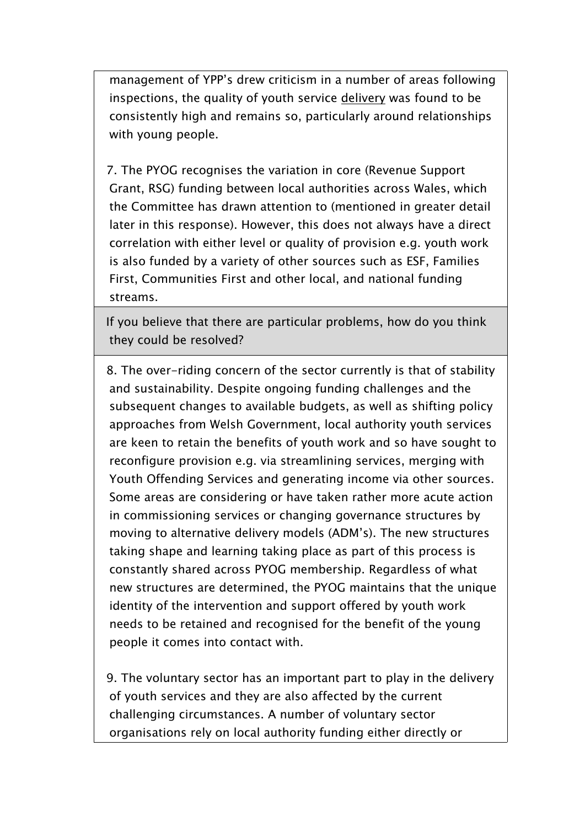management of YPP's drew criticism in a number of areas following inspections, the quality of youth service delivery was found to be consistently high and remains so, particularly around relationships with young people.

7. The PYOG recognises the variation in core (Revenue Support Grant, RSG) funding between local authorities across Wales, which the Committee has drawn attention to (mentioned in greater detail later in this response). However, this does not always have a direct correlation with either level or quality of provision e.g. youth work is also funded by a variety of other sources such as ESF, Families First, Communities First and other local, and national funding streams.

If you believe that there are particular problems, how do you think they could be resolved?

8. The over-riding concern of the sector currently is that of stability and sustainability. Despite ongoing funding challenges and the subsequent changes to available budgets, as well as shifting policy approaches from Welsh Government, local authority youth services are keen to retain the benefits of youth work and so have sought to reconfigure provision e.g. via streamlining services, merging with Youth Offending Services and generating income via other sources. Some areas are considering or have taken rather more acute action in commissioning services or changing governance structures by moving to alternative delivery models (ADM's). The new structures taking shape and learning taking place as part of this process is constantly shared across PYOG membership. Regardless of what new structures are determined, the PYOG maintains that the unique identity of the intervention and support offered by youth work needs to be retained and recognised for the benefit of the young people it comes into contact with.

9. The voluntary sector has an important part to play in the delivery of youth services and they are also affected by the current challenging circumstances. A number of voluntary sector organisations rely on local authority funding either directly or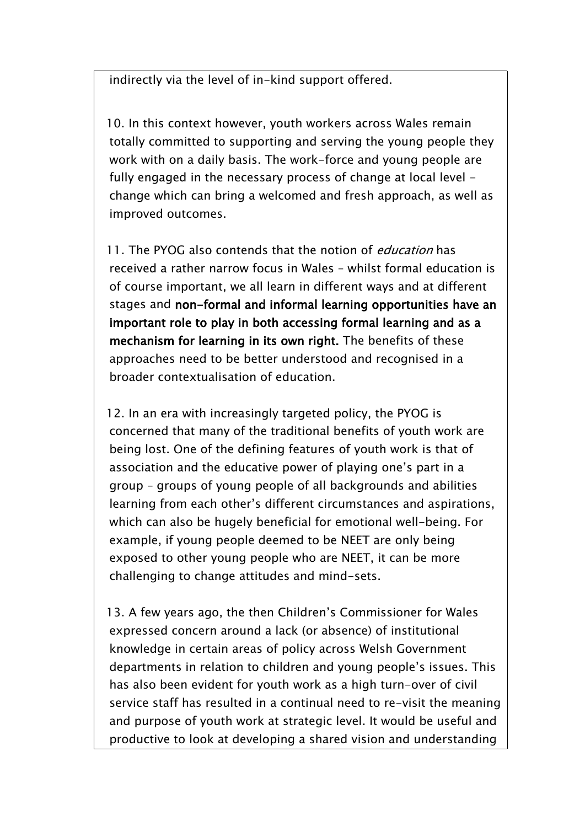indirectly via the level of in-kind support offered.

10. In this context however, youth workers across Wales remain totally committed to supporting and serving the young people they work with on a daily basis. The work-force and young people are fully engaged in the necessary process of change at local level change which can bring a welcomed and fresh approach, as well as improved outcomes.

11. The PYOG also contends that the notion of *education* has received a rather narrow focus in Wales – whilst formal education is of course important, we all learn in different ways and at different stages and **non-formal and informal learning opportunities have an important role to play in both accessing formal learning and as a mechanism for learning in its own right.** The benefits of these approaches need to be better understood and recognised in a broader contextualisation of education.

12. In an era with increasingly targeted policy, the PYOG is concerned that many of the traditional benefits of youth work are being lost. One of the defining features of youth work is that of association and the educative power of playing one's part in a group – groups of young people of all backgrounds and abilities learning from each other's different circumstances and aspirations, which can also be hugely beneficial for emotional well-being. For example, if young people deemed to be NEET are only being exposed to other young people who are NEET, it can be more challenging to change attitudes and mind-sets.

13. A few years ago, the then Children's Commissioner for Wales expressed concern around a lack (or absence) of institutional knowledge in certain areas of policy across Welsh Government departments in relation to children and young people's issues. This has also been evident for youth work as a high turn-over of civil service staff has resulted in a continual need to re-visit the meaning and purpose of youth work at strategic level. It would be useful and productive to look at developing a shared vision and understanding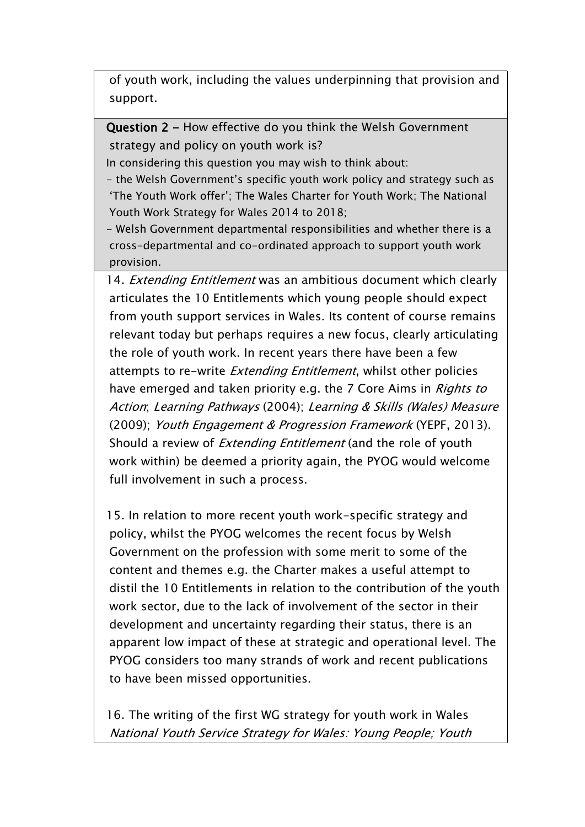of youth work, including the values underpinning that provision and support.

**Question 2 -** How effective do you think the Welsh Government strategy and policy on youth work is?

In considering this question you may wish to think about:

- the Welsh Government's specific youth work policy and strategy such as 'The Youth Work offer'; The Wales Charter for Youth Work; The National Youth Work Strategy for Wales 2014 to 2018;

- Welsh Government departmental responsibilities and whether there is a cross-departmental and co-ordinated approach to support youth work provision.

14. *Extending Entitlement* was an ambitious document which clearly articulates the 10 Entitlements which young people should expect from youth support services in Wales. Its content of course remains relevant today but perhaps requires a new focus, clearly articulating the role of youth work. In recent years there have been a few attempts to re-write *Extending Entitlement*, whilst other policies have emerged and taken priority e.g. the 7 Core Aims in *Rights to Action*; *Learning Pathways* (2004); *Learning & Skills (Wales) Measure* (2009); *Youth Engagement & Progression Framework* (YEPF, 2013). Should a review of *Extending Entitlement* (and the role of youth work within) be deemed a priority again, the PYOG would welcome full involvement in such a process.

15. In relation to more recent youth work-specific strategy and policy, whilst the PYOG welcomes the recent focus by Welsh Government on the profession with some merit to some of the content and themes e.g. the Charter makes a useful attempt to distil the 10 Entitlements in relation to the contribution of the youth work sector, due to the lack of involvement of the sector in their development and uncertainty regarding their status, there is an apparent low impact of these at strategic and operational level. The PYOG considers too many strands of work and recent publications to have been missed opportunities.

16. The writing of the first WG strategy for youth work in Wales *National Youth Service Strategy for Wales: Young People; Youth*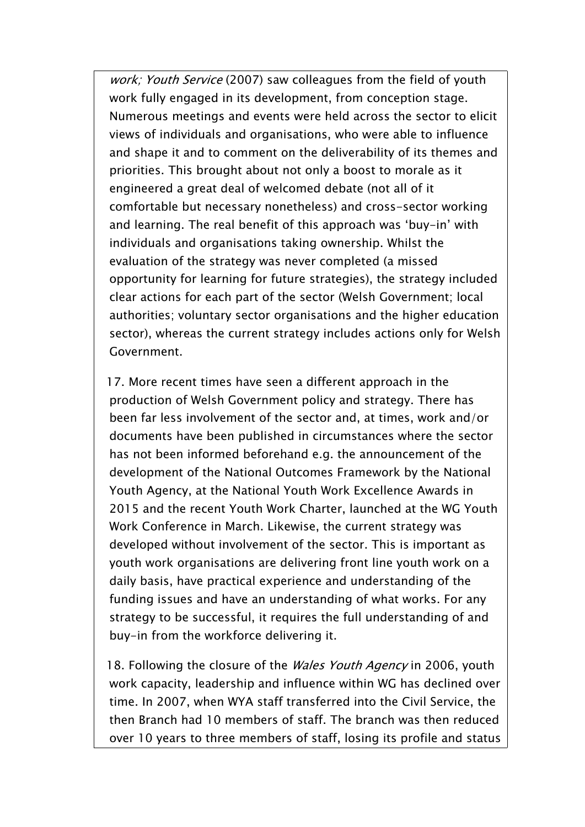*work; Youth Service* (2007) saw colleagues from the field of youth work fully engaged in its development, from conception stage. Numerous meetings and events were held across the sector to elicit views of individuals and organisations, who were able to influence and shape it and to comment on the deliverability of its themes and priorities. This brought about not only a boost to morale as it engineered a great deal of welcomed debate (not all of it comfortable but necessary nonetheless) and cross-sector working and learning. The real benefit of this approach was 'buy-in' with individuals and organisations taking ownership. Whilst the evaluation of the strategy was never completed (a missed opportunity for learning for future strategies), the strategy included clear actions for each part of the sector (Welsh Government; local authorities; voluntary sector organisations and the higher education sector), whereas the current strategy includes actions only for Welsh Government.

17. More recent times have seen a different approach in the production of Welsh Government policy and strategy. There has been far less involvement of the sector and, at times, work and/or documents have been published in circumstances where the sector has not been informed beforehand e.g. the announcement of the development of the National Outcomes Framework by the National Youth Agency, at the National Youth Work Excellence Awards in 2015 and the recent Youth Work Charter, launched at the WG Youth Work Conference in March. Likewise, the current strategy was developed without involvement of the sector. This is important as youth work organisations are delivering front line youth work on a daily basis, have practical experience and understanding of the funding issues and have an understanding of what works. For any strategy to be successful, it requires the full understanding of and buy-in from the workforce delivering it.

18. Following the closure of the *Wales Youth Agency* in 2006, youth work capacity, leadership and influence within WG has declined over time. In 2007, when WYA staff transferred into the Civil Service, the then Branch had 10 members of staff. The branch was then reduced over 10 years to three members of staff, losing its profile and status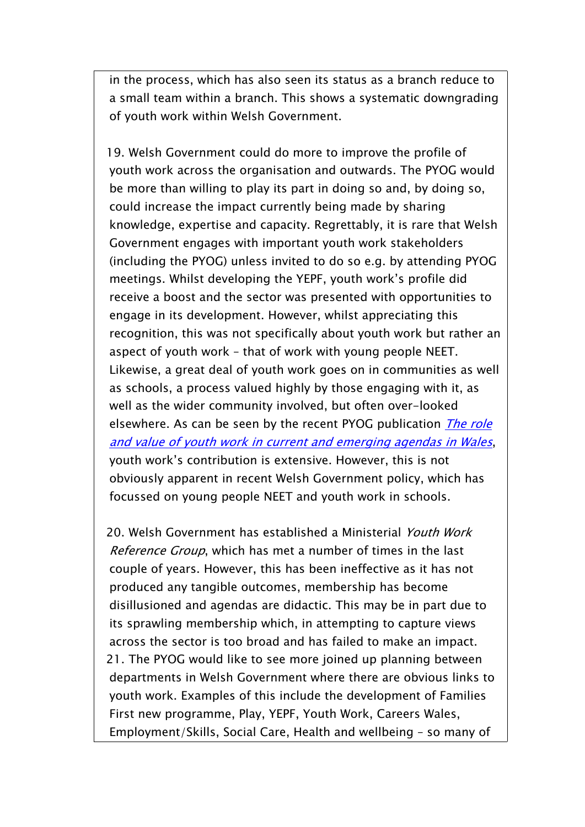in the process, which has also seen its status as a branch reduce to a small team within a branch. This shows a systematic downgrading of youth work within Welsh Government.

19. Welsh Government could do more to improve the profile of youth work across the organisation and outwards. The PYOG would be more than willing to play its part in doing so and, by doing so, could increase the impact currently being made by sharing knowledge, expertise and capacity. Regrettably, it is rare that Welsh Government engages with important youth work stakeholders (including the PYOG) unless invited to do so e.g. by attending PYOG meetings. Whilst developing the YEPF, youth work's profile did receive a boost and the sector was presented with opportunities to engage in its development. However, whilst appreciating this recognition, this was not specifically about youth work but rather an aspect of youth work – that of work with young people NEET. Likewise, a great deal of youth work goes on in communities as well as schools, a process valued highly by those engaging with it, as well as the wider community involved, but often over-looked elsewhere. As can be seen by the recent PYOG publication *[The](http://www.wlga.gov.uk/publications-lifelong-learning-leisure-and-information/principal-youth-officers-group-the-role-and-value-of-youth-work-in-wales/) role and value of youth work in current and [emerging](http://www.wlga.gov.uk/publications-lifelong-learning-leisure-and-information/principal-youth-officers-group-the-role-and-value-of-youth-work-in-wales/) agendas in Wales*, youth work's contribution is extensive. However, this is not obviously apparent in recent Welsh Government policy, which has focussed on young people NEET and youth work in schools.

20. Welsh Government has established a Ministerial *Youth Work Reference Group*, which has met a number of times in the last couple of years. However, this has been ineffective as it has not produced any tangible outcomes, membership has become disillusioned and agendas are didactic. This may be in part due to its sprawling membership which, in attempting to capture views across the sector is too broad and has failed to make an impact. 21. The PYOG would like to see more joined up planning between departments in Welsh Government where there are obvious links to youth work. Examples of this include the development of Families First new programme, Play, YEPF, Youth Work, Careers Wales, Employment/Skills, Social Care, Health and wellbeing – so many of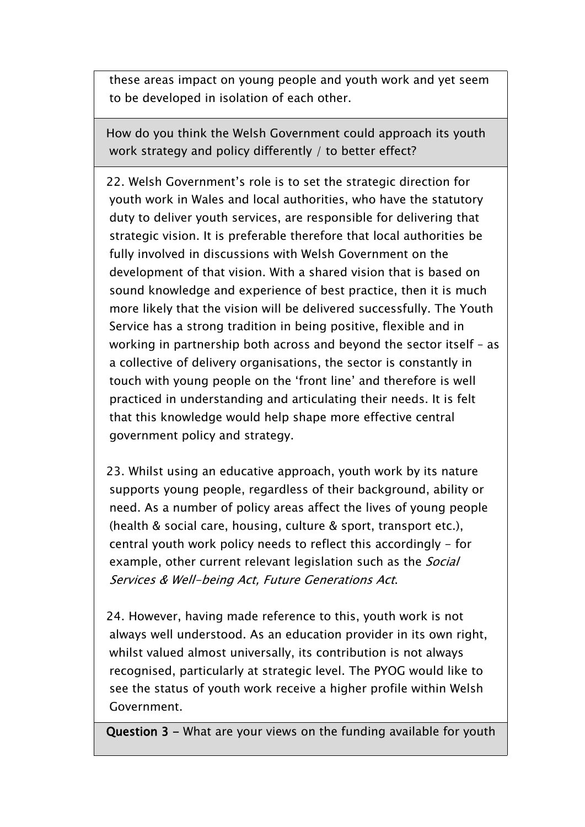these areas impact on young people and youth work and yet seem to be developed in isolation of each other.

How do you think the Welsh Government could approach its youth work strategy and policy differently / to better effect?

22. Welsh Government's role is to set the strategic direction for youth work in Wales and local authorities, who have the statutory duty to deliver youth services, are responsible for delivering that strategic vision. It is preferable therefore that local authorities be fully involved in discussions with Welsh Government on the development of that vision. With a shared vision that is based on sound knowledge and experience of best practice, then it is much more likely that the vision will be delivered successfully. The Youth Service has a strong tradition in being positive, flexible and in working in partnership both across and beyond the sector itself – as a collective of delivery organisations, the sector is constantly in touch with young people on the 'front line' and therefore is well practiced in understanding and articulating their needs. It is felt that this knowledge would help shape more effective central government policy and strategy.

23. Whilst using an educative approach, youth work by its nature supports young people, regardless of their background, ability or need. As a number of policy areas affect the lives of young people (health & social care, housing, culture & sport, transport etc.), central youth work policy needs to reflect this accordingly - for example, other current relevant legislation such as the *Social Services & Well-being Act, Future Generations Act*.

24. However, having made reference to this, youth work is not always well understood. As an education provider in its own right, whilst valued almost universally, its contribution is not always recognised, particularly at strategic level. The PYOG would like to see the status of youth work receive a higher profile within Welsh Government.

**Question 3 -** What are your views on the funding available for youth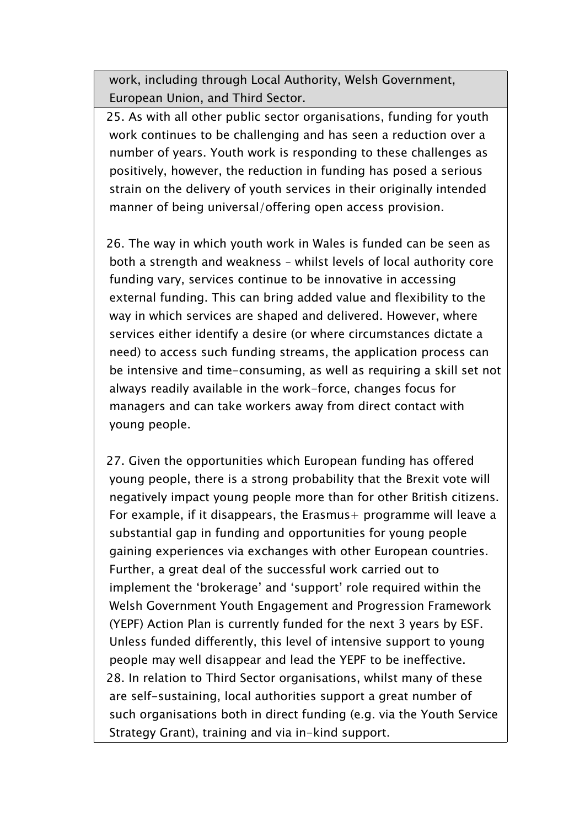work, including through Local Authority, Welsh Government, European Union, and Third Sector.

25. As with all other public sector organisations, funding for youth work continues to be challenging and has seen a reduction over a number of years. Youth work is responding to these challenges as positively, however, the reduction in funding has posed a serious strain on the delivery of youth services in their originally intended manner of being universal/offering open access provision.

26. The way in which youth work in Wales is funded can be seen as both a strength and weakness – whilst levels of local authority core funding vary, services continue to be innovative in accessing external funding. This can bring added value and flexibility to the way in which services are shaped and delivered. However, where services either identify a desire (or where circumstances dictate a need) to access such funding streams, the application process can be intensive and time-consuming, as well as requiring a skill set not always readily available in the work-force, changes focus for managers and can take workers away from direct contact with young people.

27. Given the opportunities which European funding has offered young people, there is a strong probability that the Brexit vote will negatively impact young people more than for other British citizens. For example, if it disappears, the Erasmus  $+$  programme will leave a substantial gap in funding and opportunities for young people gaining experiences via exchanges with other European countries. Further, a great deal of the successful work carried out to implement the 'brokerage' and 'support' role required within the Welsh Government Youth Engagement and Progression Framework (YEPF) Action Plan is currently funded for the next 3 years by ESF. Unless funded differently, this level of intensive support to young people may well disappear and lead the YEPF to be ineffective. 28. In relation to Third Sector organisations, whilst many of these are self-sustaining, local authorities support a great number of such organisations both in direct funding (e.g. via the Youth Service Strategy Grant), training and via in-kind support.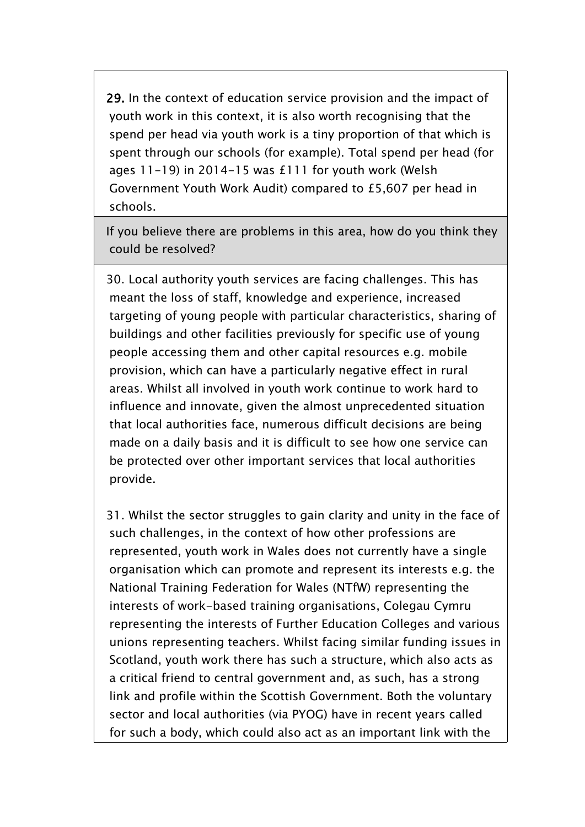**29.** In the context of education service provision and the impact of youth work in this context, it is also worth recognising that the spend per head via youth work is a tiny proportion of that which is spent through our schools (for example). Total spend per head (for ages 11-19) in 2014-15 was £111 for youth work (Welsh Government Youth Work Audit) compared to £5,607 per head in schools.

If you believe there are problems in this area, how do you think they could be resolved?

30. Local authority youth services are facing challenges. This has meant the loss of staff, knowledge and experience, increased targeting of young people with particular characteristics, sharing of buildings and other facilities previously for specific use of young people accessing them and other capital resources e.g. mobile provision, which can have a particularly negative effect in rural areas. Whilst all involved in youth work continue to work hard to influence and innovate, given the almost unprecedented situation that local authorities face, numerous difficult decisions are being made on a daily basis and it is difficult to see how one service can be protected over other important services that local authorities provide.

31. Whilst the sector struggles to gain clarity and unity in the face of such challenges, in the context of how other professions are represented, youth work in Wales does not currently have a single organisation which can promote and represent its interests e.g. the National Training Federation for Wales (NTfW) representing the interests of work-based training organisations, Colegau Cymru representing the interests of Further Education Colleges and various unions representing teachers. Whilst facing similar funding issues in Scotland, youth work there has such a structure, which also acts as a critical friend to central government and, as such, has a strong link and profile within the Scottish Government. Both the voluntary sector and local authorities (via PYOG) have in recent years called for such a body, which could also act as an important link with the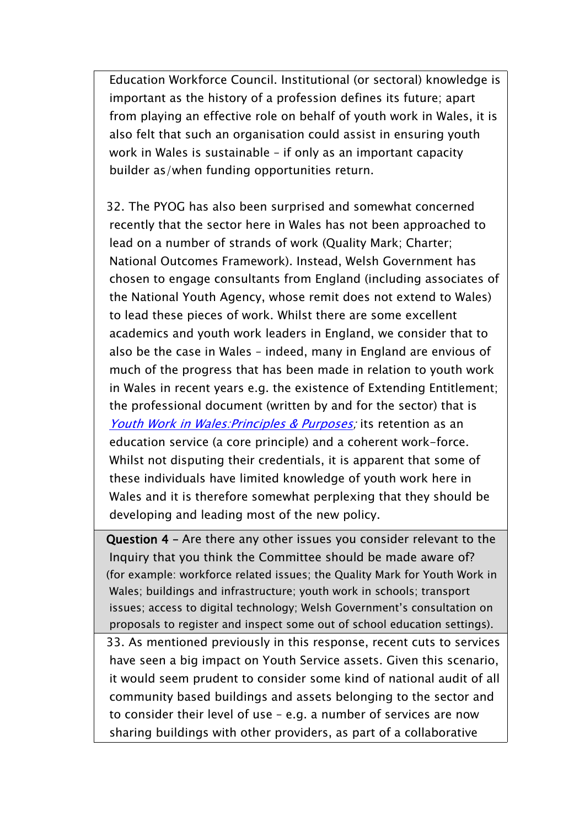Education Workforce Council. Institutional (or sectoral) knowledge is important as the history of a profession defines its future; apart from playing an effective role on behalf of youth work in Wales, it is also felt that such an organisation could assist in ensuring youth work in Wales is sustainable – if only as an important capacity builder as/when funding opportunities return.

32. The PYOG has also been surprised and somewhat concerned recently that the sector here in Wales has not been approached to lead on a number of strands of work (Quality Mark; Charter; National Outcomes Framework). Instead, Welsh Government has chosen to engage consultants from England (including associates of the National Youth Agency, whose remit does not extend to Wales) to lead these pieces of work. Whilst there are some excellent academics and youth work leaders in England, we consider that to also be the case in Wales – indeed, many in England are envious of much of the progress that has been made in relation to youth work in Wales in recent years e.g. the existence of Extending Entitlement; the professional document (written by and for the sector) that is *Youth Work in [Wales:Principles](http://www.wlga.gov.uk/publications-lifelong-learning-leisure-and-information/youth-work-in-wales-principles-and-purposes-january-2013/) & Purposes;* its retention as an education service (a core principle) and a coherent work-force. Whilst not disputing their credentials, it is apparent that some of these individuals have limited knowledge of youth work here in Wales and it is therefore somewhat perplexing that they should be developing and leading most of the new policy.

**Question 4 –** Are there any other issues you consider relevant to the Inquiry that you think the Committee should be made aware of? (for example: workforce related issues; the Quality Mark for Youth Work in Wales; buildings and infrastructure; youth work in schools; transport issues; access to digital technology; Welsh Government's consultation on proposals to register and inspect some out of school education settings).

33. As mentioned previously in this response, recent cuts to services have seen a big impact on Youth Service assets. Given this scenario, it would seem prudent to consider some kind of national audit of all community based buildings and assets belonging to the sector and to consider their level of use – e.g. a number of services are now sharing buildings with other providers, as part of a collaborative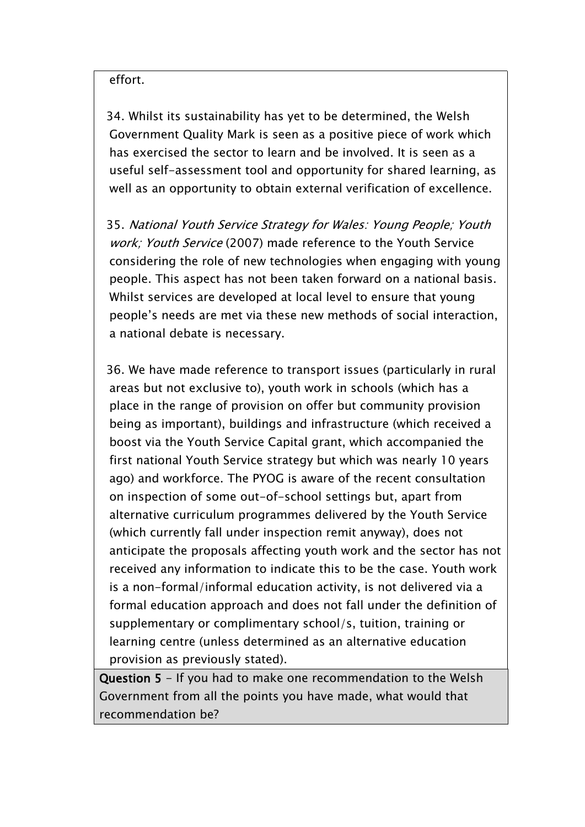effort.

34. Whilst its sustainability has yet to be determined, the Welsh Government Quality Mark is seen as a positive piece of work which has exercised the sector to learn and be involved. It is seen as a useful self-assessment tool and opportunity for shared learning, as well as an opportunity to obtain external verification of excellence.

35. *National Youth Service Strategy for Wales: Young People; Youth work; Youth Service* (2007) made reference to the Youth Service considering the role of new technologies when engaging with young people. This aspect has not been taken forward on a national basis. Whilst services are developed at local level to ensure that young people's needs are met via these new methods of social interaction, a national debate is necessary.

36. We have made reference to transport issues (particularly in rural areas but not exclusive to), youth work in schools (which has a place in the range of provision on offer but community provision being as important), buildings and infrastructure (which received a boost via the Youth Service Capital grant, which accompanied the first national Youth Service strategy but which was nearly 10 years ago) and workforce. The PYOG is aware of the recent consultation on inspection of some out-of-school settings but, apart from alternative curriculum programmes delivered by the Youth Service (which currently fall under inspection remit anyway), does not anticipate the proposals affecting youth work and the sector has not received any information to indicate this to be the case. Youth work is a non-formal/informal education activity, is not delivered via a formal education approach and does not fall under the definition of supplementary or complimentary school/s, tuition, training or learning centre (unless determined as an alternative education provision as previously stated).

**Question 5** - If you had to make one recommendation to the Welsh Government from all the points you have made, what would that recommendation be?